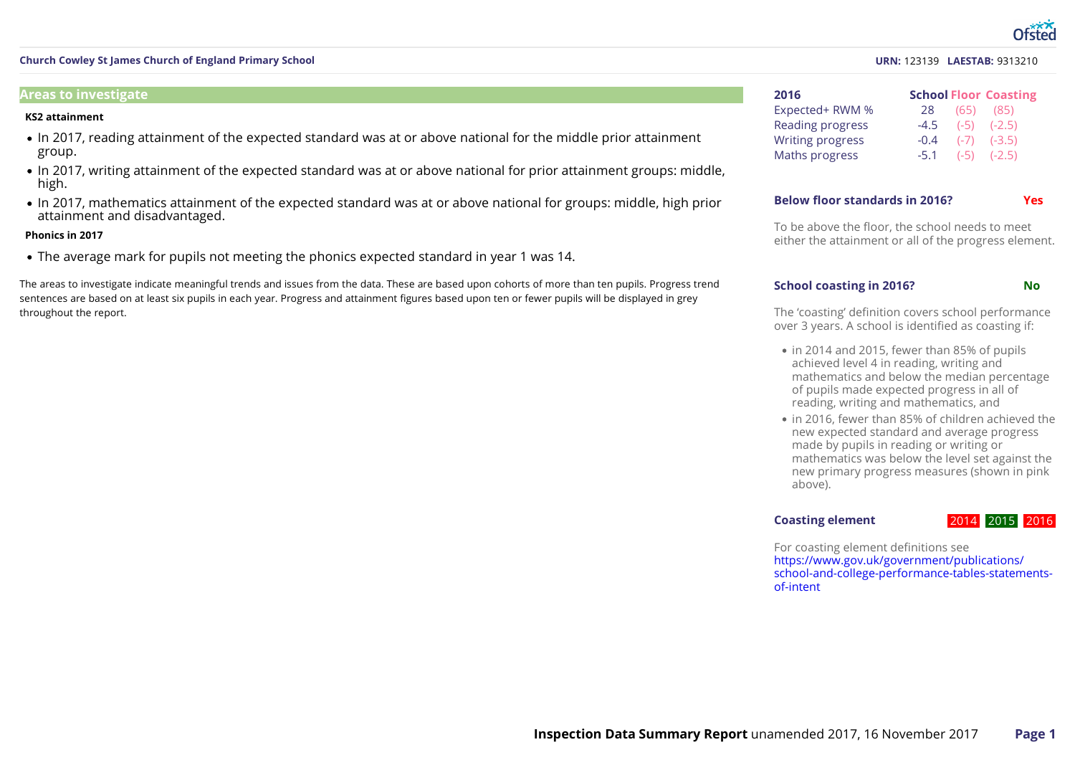#### **Areas to investigate**

#### **KS2 attainment**

- In 2017, reading attainment of the expected standard was at or above national for the middle prior attainment group.
- In 2017, writing attainment of the expected standard was at or above national for prior attainment groups: middle, high.
- In 2017, mathematics attainment of the expected standard was at or above national for groups: middle, high prior attainment and disadvantaged.

#### **Phonics in 2017**

The average mark for pupils not meeting the phonics expected standard in year 1 was 14.

The areas to investigate indicate meaningful trends and issues from the data. These are based upon cohorts of more than ten pupils. Progress trend sentences are based on at least six pupils in each year. Progress and attainment figures based upon ten or fewer pupils will be displayed in grey throughout the report.

#### **URN:** 123139 **LAESTAB:** 9313210

| 2016                    |        | <b>School Floor Coasting</b> |
|-------------------------|--------|------------------------------|
| Expected+ RWM %         | 28     | $(65)$ $(85)$                |
| <b>Reading progress</b> |        | $-4.5$ $(-5)$ $(-2.5)$       |
| <b>Writing progress</b> | $-0.4$ | $(-7)$ $(-3.5)$              |
| Maths progress          |        | $-5.1$ $(-5)$ $(-2.5)$       |

#### **Below floor standards in 2016? Yes**

To be above the floor, the school needs to meet either the attainment or all of the progress element.

#### **School coasting in 2016? No**

The 'coasting' definition covers school performance over 3 years. A school is identified as coasting if:

- in 2014 and 2015, fewer than 85% of pupils achieved level 4 in reading, writing and mathematics and below the median percentage of pupils made expected progress in all of reading, writing and mathematics, and
- in 2016, fewer than 85% of children achieved the new expected standard and average progress made by pupils in reading or writing or mathematics was below the level set against the new primary progress measures (shown in pink above).

#### **Coasting element**

#### 2014 2015 2016

For coasting element definitions see https://www.gov.uk/government/publications/ [school-and-college-performance-tables-statements-](https://www.gov.uk/government/publications/school-and-college-performance-tables-statements-of-intent) of-intent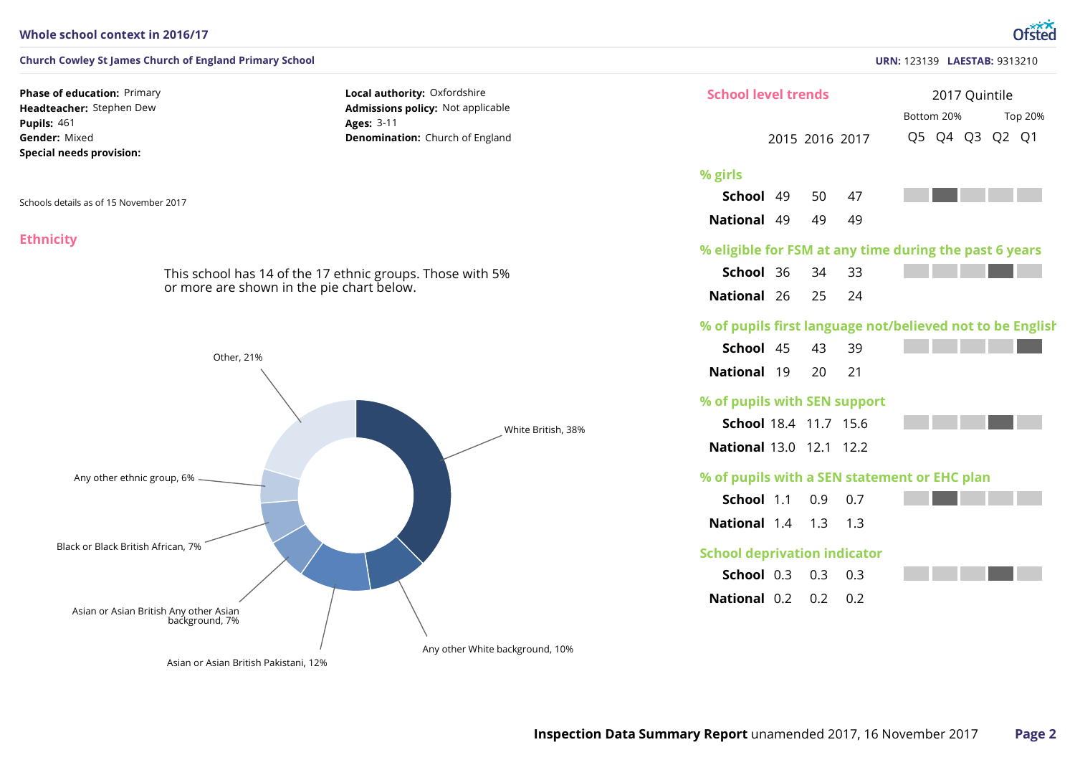#### **Whole school context in 2016/17**

#### **Church Cowley St James Church of England Primary School**

**Phase of education: Primary Headteacher:** Stephen Dew 461 **Pupils:** Gender: Mixed **Special needs provision:**

Schools details as of 15 November 2017

#### **Ethnicity**

This school has 14 of the 17 ethnic groups. Those with 5% or more are shown in the pie chart below.

**Local authority:** Oxfordshire **Admissions policy:** Not applicable

**Denomination:** Church of England

3-11 **Ages:**



|                                     |                         |                                        | <b>URN: 123139 LAESTAB: 9313210</b>                       |
|-------------------------------------|-------------------------|----------------------------------------|-----------------------------------------------------------|
| <b>School level trends</b>          |                         | 2017 Quintile<br>Bottom 20%<br>Top 20% |                                                           |
|                                     |                         | 2015 2016 2017                         | Q5 Q4 Q3 Q2 Q1                                            |
| % girls                             |                         |                                        |                                                           |
| School 49 50                        |                         | 47                                     |                                                           |
| <b>National 49 49</b>               |                         | 49                                     |                                                           |
|                                     |                         |                                        | % eligible for FSM at any time during the past 6 years    |
| School 36                           | 34 33                   |                                        |                                                           |
| National 26 25                      |                         | 24                                     |                                                           |
|                                     |                         |                                        | % of pupils first language not/believed not to be English |
| School 45                           | 43                      | 39                                     |                                                           |
| <b>National 19</b>                  | 20                      | 21                                     |                                                           |
| % of pupils with SEN support        |                         |                                        |                                                           |
| School 18.4 11.7 15.6               |                         |                                        |                                                           |
| National 13.0 12.1 12.2             |                         |                                        |                                                           |
|                                     |                         |                                        | % of pupils with a SEN statement or EHC plan              |
| School 1.1                          | 0.9                     | 0.7                                    |                                                           |
| <b>National 1.4 1.3 1.3</b>         |                         |                                        |                                                           |
| <b>School deprivation indicator</b> |                         |                                        |                                                           |
| School 0.3                          | 0.3                     | 0.3                                    |                                                           |
|                                     | <b>National 0.2 0.2</b> | 0.2                                    |                                                           |

#### **URN:** 123139 **LAESTAB:** 9313210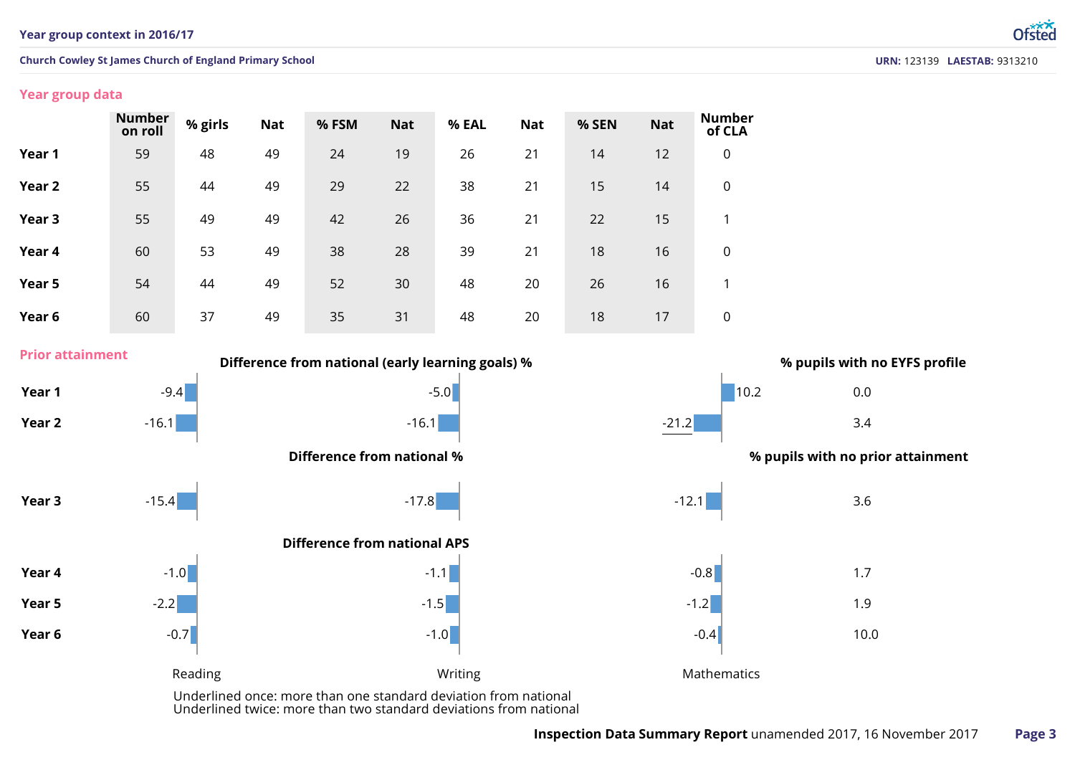#### **Year group data**

|        | <b>Number</b><br>on roll | % girls | <b>Nat</b> | % FSM | <b>Nat</b> | % EAL | <b>Nat</b> | % SEN | <b>Nat</b> | <b>Number</b><br>of CLA |
|--------|--------------------------|---------|------------|-------|------------|-------|------------|-------|------------|-------------------------|
| Year 1 | 59                       | 48      | 49         | 24    | 19         | 26    | 21         | 14    | 12         | $\overline{0}$          |
| Year 2 | 55                       | 44      | 49         | 29    | 22         | 38    | 21         | 15    | 14         | $\overline{0}$          |
| Year 3 | 55                       | 49      | 49         | 42    | 26         | 36    | 21         | 22    | 15         | 1                       |
| Year 4 | 60                       | 53      | 49         | 38    | 28         | 39    | 21         | 18    | 16         | $\mathbf 0$             |
| Year 5 | 54                       | 44      | 49         | 52    | 30         | 48    | 20         | 26    | 16         | 1                       |
| Year 6 | 60                       | 37      | 49         | 35    | 31         | 48    | 20         | 18    | 17         | $\overline{0}$          |

**Year 1** 0.0 **Year 2** 3.4 **Year 4** 1.7 **Year 5** 1.9 **Year 6** 10.0 **Year 3** 3.6  $-9.4$  10.2  $-16.1$  -16.1  $-16.1$  -16.1  $-21.2$  $-1.0$  -1.1  $-0.8$  $-2.2$  -1.2  $-1.5$  -1.5  $-1.2$  $-0.7$  -1.0 -1.0 -1.0 -0.4  $-15.4$  -17.8 -17.8 -17.9 -12.1 -12.1 -12.1 -12.1 -12.1 -12.1 -12.1 -12.1 -12.1 -1 **Difference from national (early learning goals) % % pupils with no EYFS profile Prior attainment** Reading **Mathematics CONFIDENTIFY INTERFERIENT MATHEMATICS Mathematics** Underlined once: more than one standard deviation from national **Difference from national APS Difference from national % % pupils with no prior attainment**

Underlined twice: more than two standard deviations from national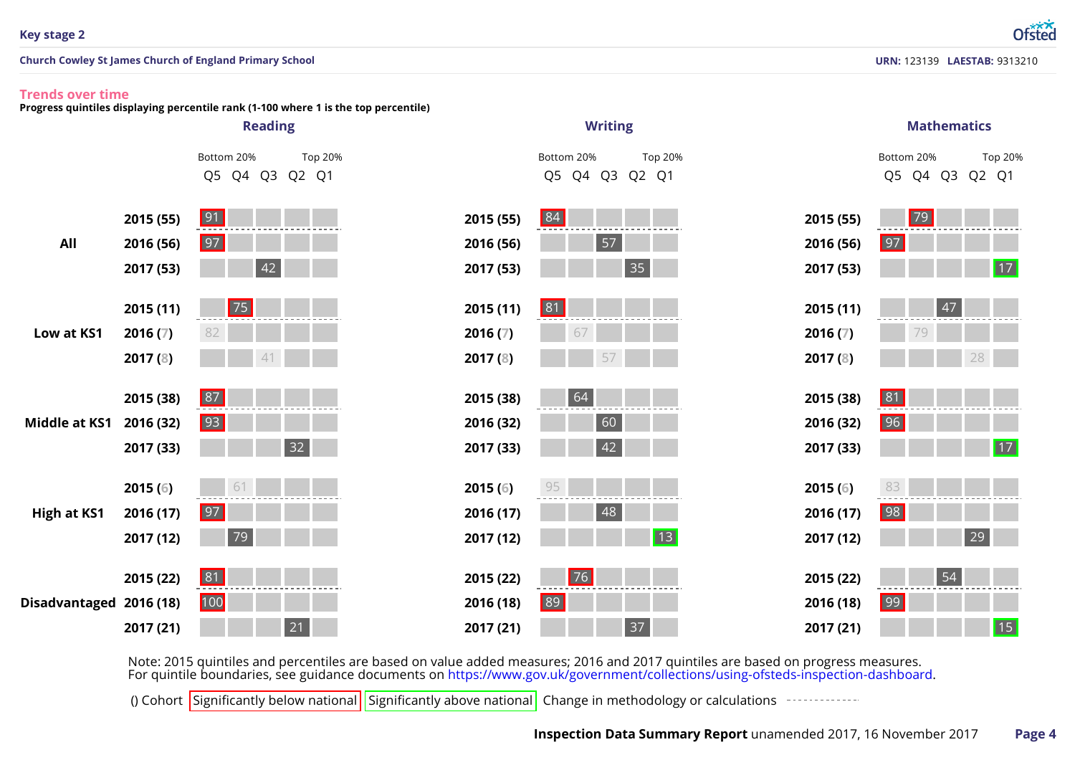## **Trends over time**

**Progress quintiles displaying percentile rank (1-100 where 1 is the top percentile)**



Note: 2015 quintiles and percentiles are based on value added measures; 2016 and 2017 quintiles are based on progress measures.<br>For quintile boundaries, see guidance documents on https://www.gov.uk/government/collections/u

() Cohort Significantly below national Significantly above national Change in methodology or calculations  $\frac{1}{2}$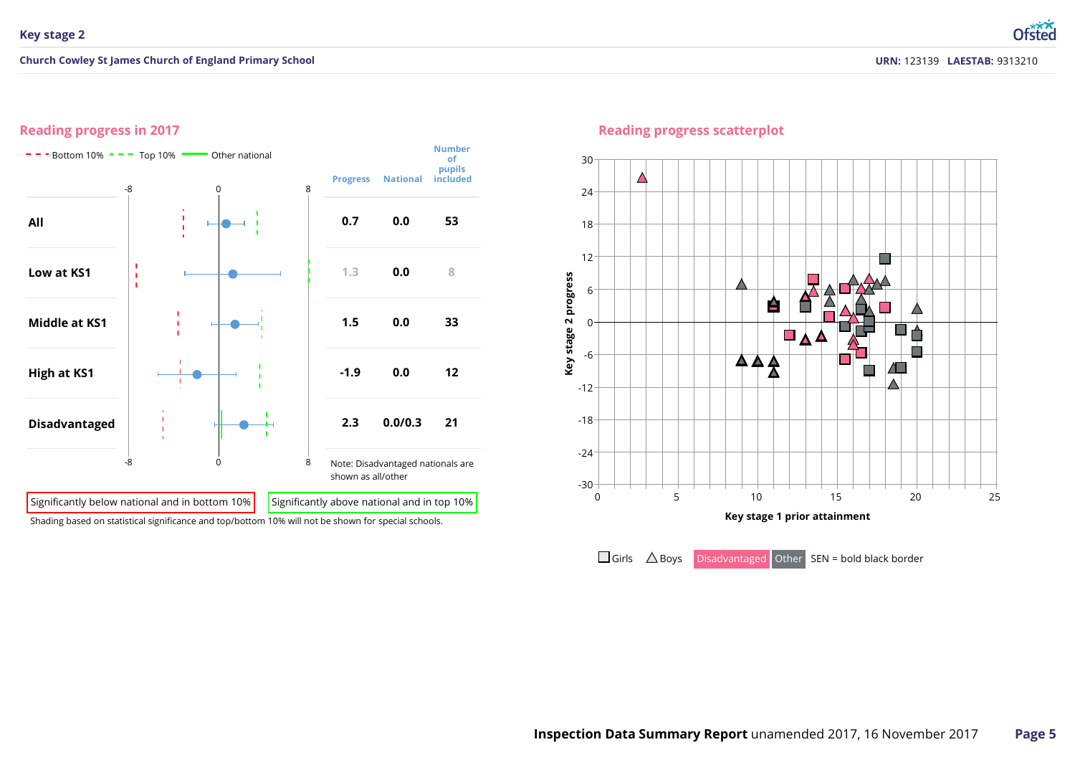### **Reading progress in 2017**



#### **Reading progress scatterplot**



 $\Box$  Girls  $\triangle$  Boys Disadvantaged Other SEN = bold black border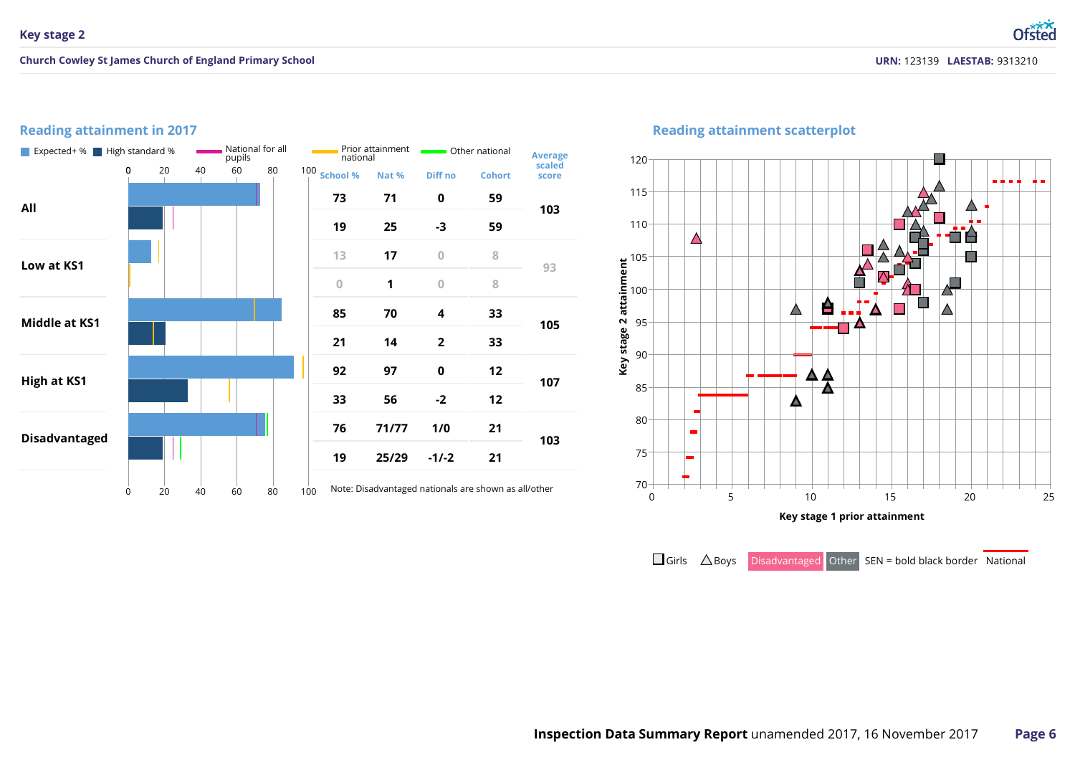## **Reading attainment in 2017**



## **Reading attainment scatterplot**



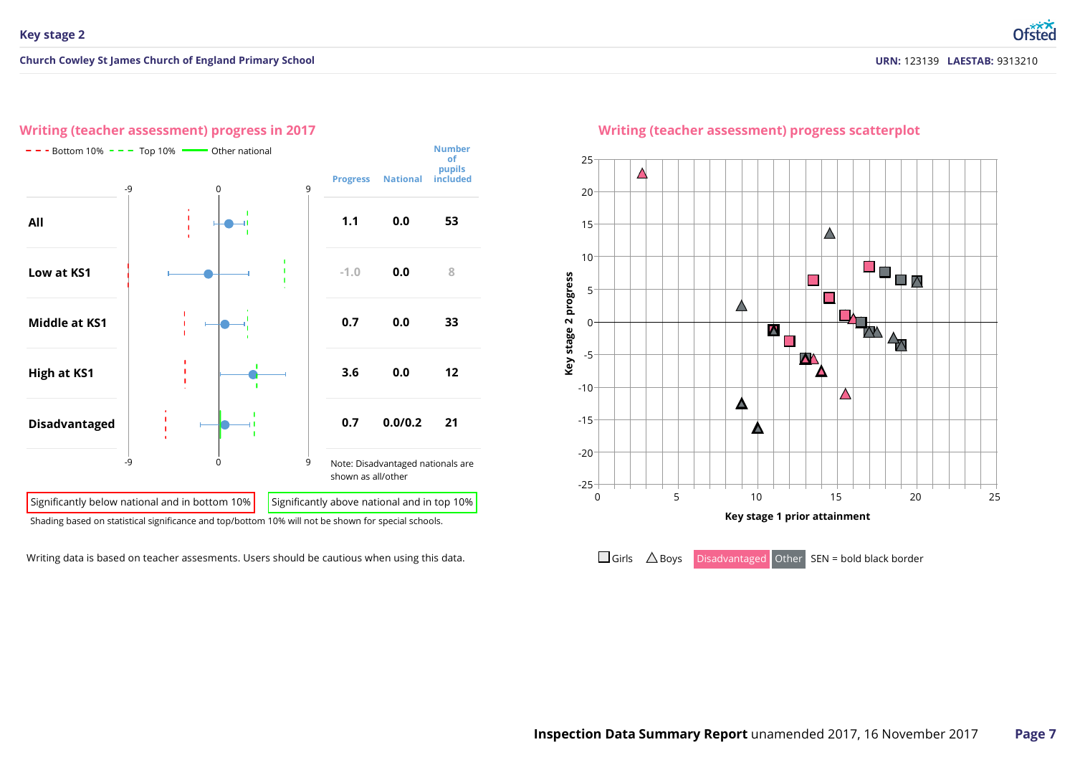#### **Writing (teacher assessment) progress in 2017**



Writing data is based on teacher assesments. Users should be cautious when using this data.



## **Writing (teacher assessment) progress scatterplot**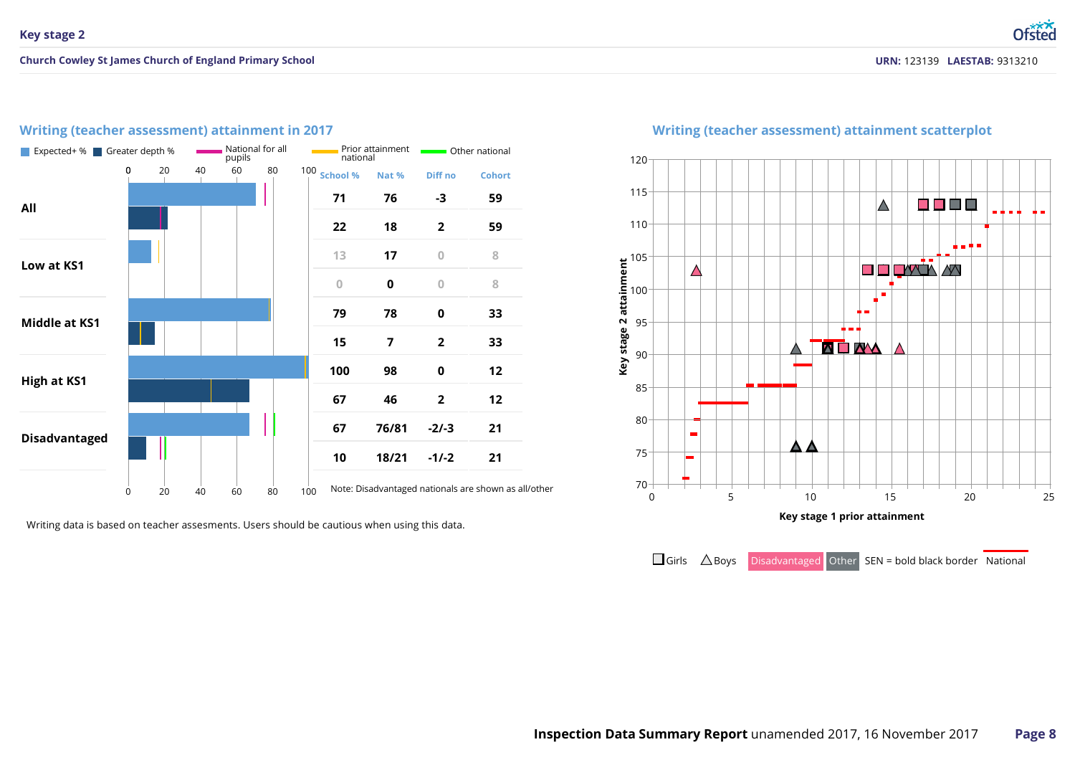## **Writing (teacher assessment) attainment in 2017**

| Expected+ % Greater depth % | National for all<br>pupils |    |    |    |                | national    | Prior attainment        | Other national |                |                                                      |  |
|-----------------------------|----------------------------|----|----|----|----------------|-------------|-------------------------|----------------|----------------|------------------------------------------------------|--|
|                             | 0                          | 20 | 40 | 60 | 80             |             | 100 School %            | Nat %          | Diff no        | <b>Cohort</b>                                        |  |
| All                         |                            |    |    |    |                |             | 71                      | 76             | -3             | 59                                                   |  |
|                             |                            |    |    |    |                |             | 22                      | 18             | $\overline{2}$ | 59                                                   |  |
| Low at KS1                  |                            |    |    |    |                |             | 13                      | 17             | $\overline{0}$ | 8                                                    |  |
|                             |                            |    |    |    | $\overline{0}$ | $\mathbf 0$ | $\overline{0}$          | 8              |                |                                                      |  |
| Middle at KS1               |                            |    |    |    |                |             | 79                      | 78             | $\mathbf 0$    | 33                                                   |  |
|                             |                            |    |    |    |                |             | 15                      | 7              | $\overline{2}$ | 33                                                   |  |
| <b>High at KS1</b>          |                            |    |    |    |                |             | 100                     | 98             | $\mathbf 0$    | 12                                                   |  |
|                             |                            |    |    |    | 67             | 46          | $\overline{\mathbf{c}}$ | 12             |                |                                                      |  |
| <b>Disadvantaged</b>        |                            |    |    |    |                |             | 67                      | 76/81          | $-2/-3$        | 21                                                   |  |
|                             |                            |    |    |    |                |             | 10                      | 18/21          | $-1/-2$        | 21                                                   |  |
|                             | 0                          | 20 | 40 | 60 | 80             | 100         |                         |                |                | Note: Disadvantaged nationals are shown as all/other |  |

Writing data is based on teacher assesments. Users should be cautious when using this data.



#### **Writing (teacher assessment) attainment scatterplot**

 $\Box$  Girls  $\triangle$  Boys Disadvantaged Other SEN = bold black border National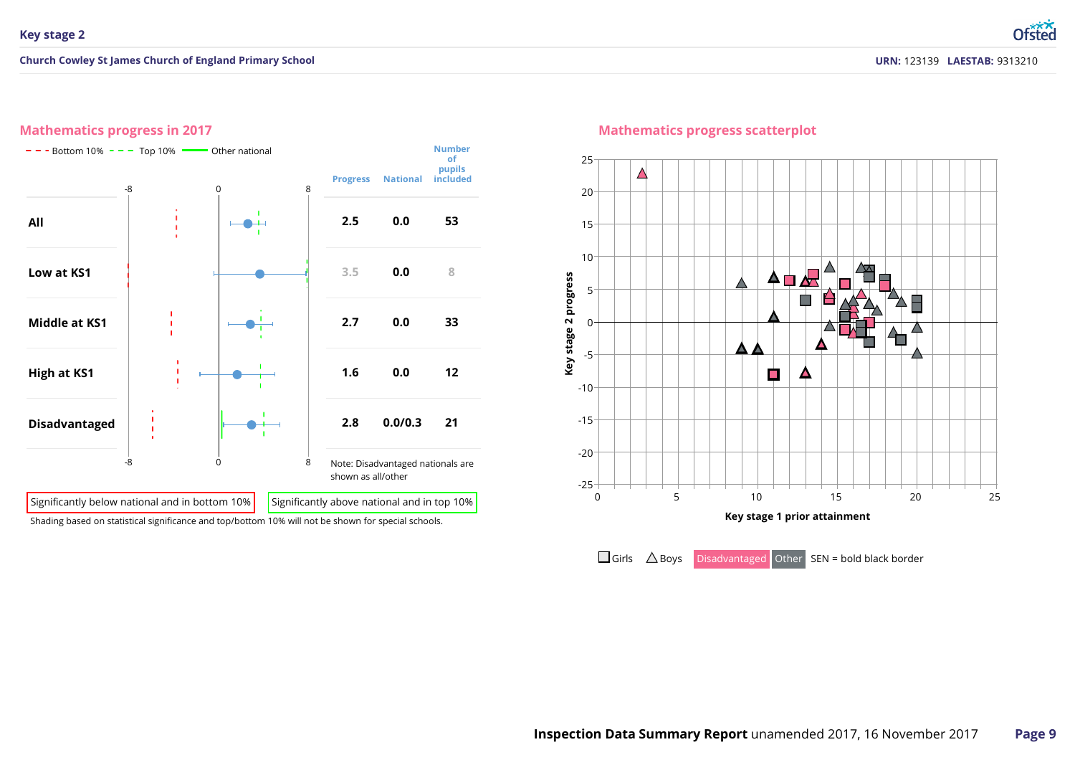## **Mathematics progress in 2017**



#### **Mathematics progress scatterplot**



 $\Box$  Girls  $\triangle$  Boys Disadvantaged Other SEN = bold black border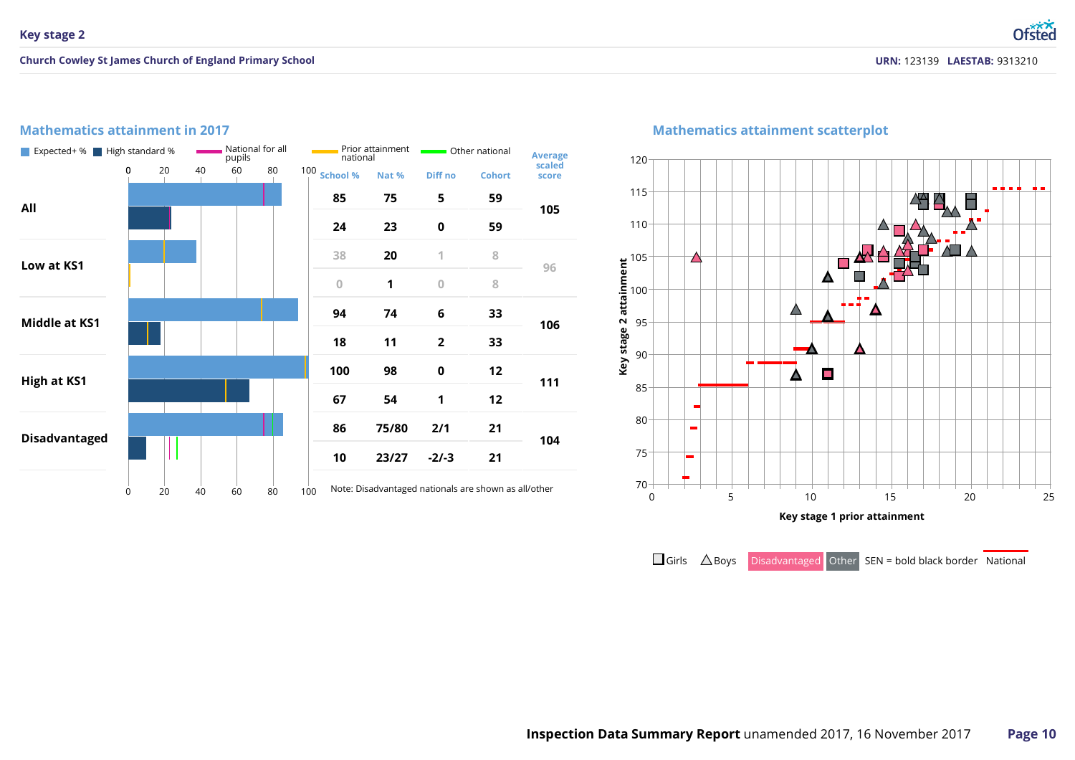## **Mathematics attainment in 2017**



## **Mathematics attainment scatterplot**



 $\Box$  Girls  $\triangle$  Boys Disadvantaged Other SEN = bold black border National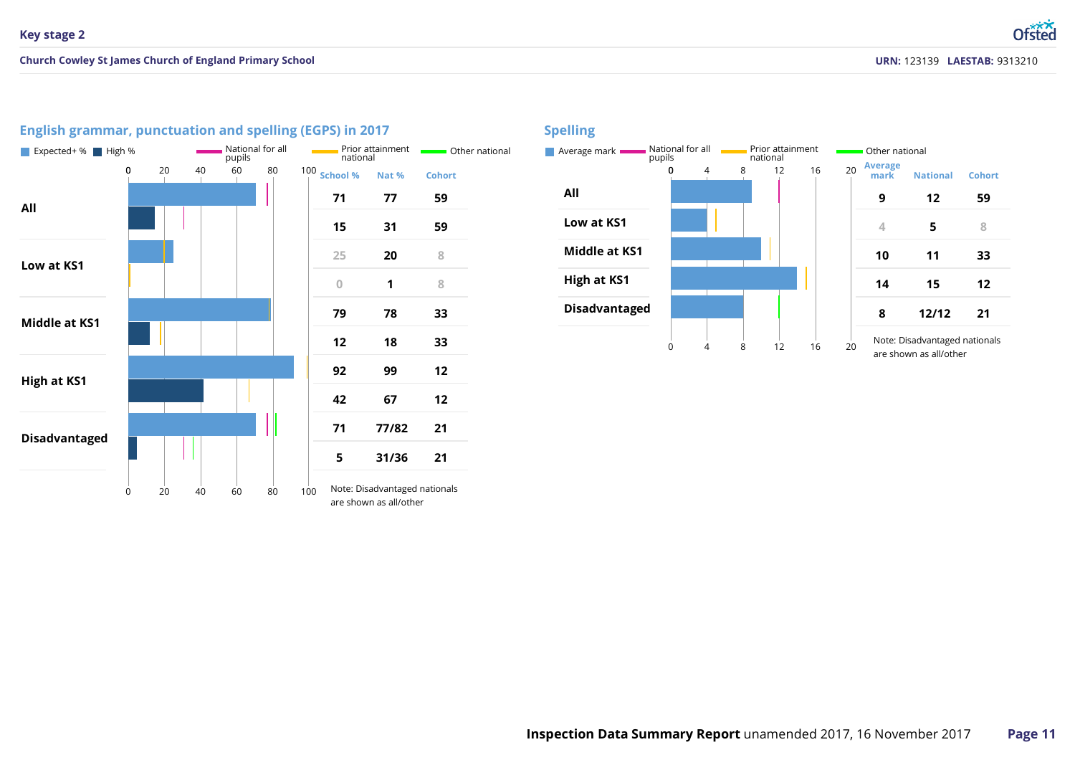

## **English grammar, punctuation and spelling (EGPS) in 2017**

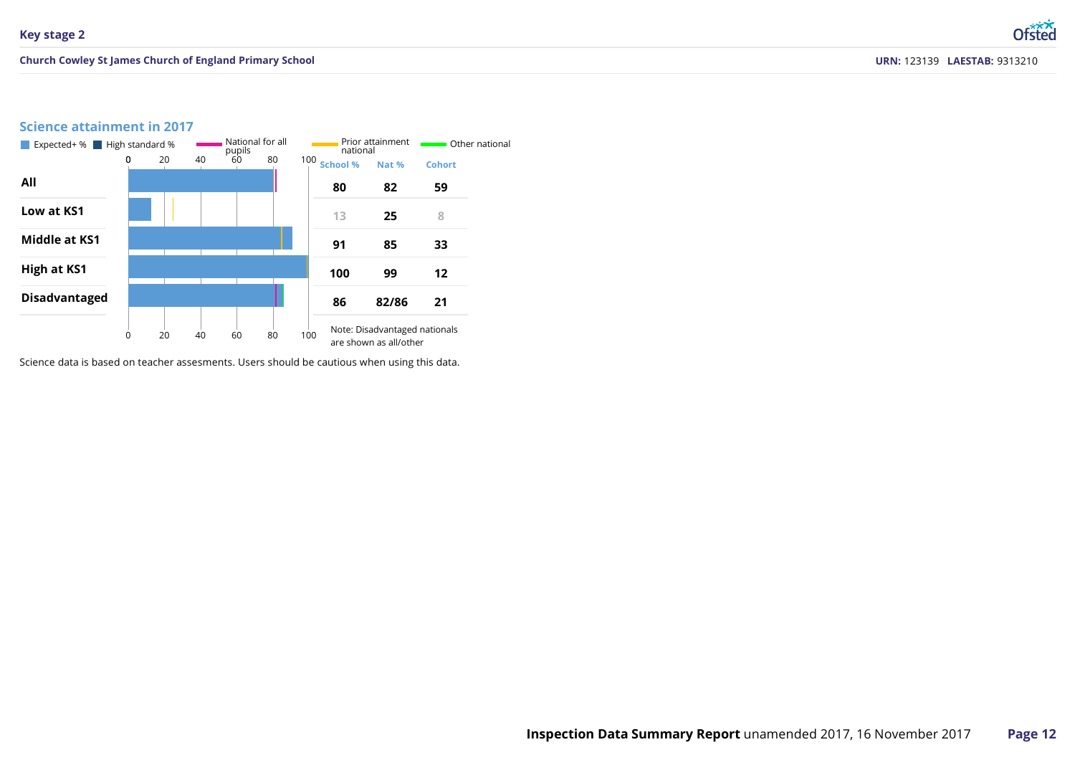## **Science attainment in 2017**



Science data is based on teacher assesments. Users should be cautious when using this data.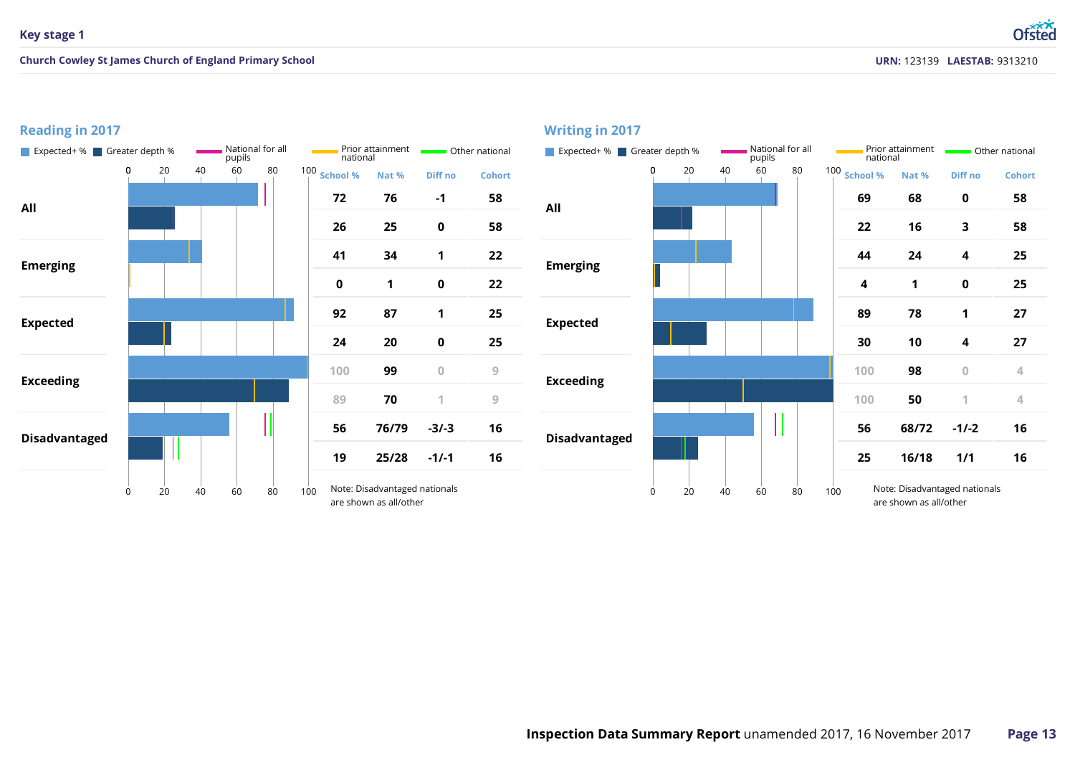#### **Reading in 2017** Expected+ % Greater depth % National for all<br>pupils pupils Prior attainment **national Containers** Other national **Containers Expected+ %** Greater depth % National for all pupils Prior attainment **national** Other national **School % School % Nat % Diff no Cohort Nat % Diff no Cohort -1 All All Emerging Emerging Expected Expected Exceeding Exceeding 76/79 -3/-3 68/72 -1/-2** Ш **Disadvantaged Disadvantaged 25/28 -1/-1 16/18 1/1** Note: Disadvantaged nationals are shown as all/other Note: Disadvantaged nationals are shown as all/other 100 Note: Disadvantaged r<br>are shown as all/other

#### **Writing in 2017**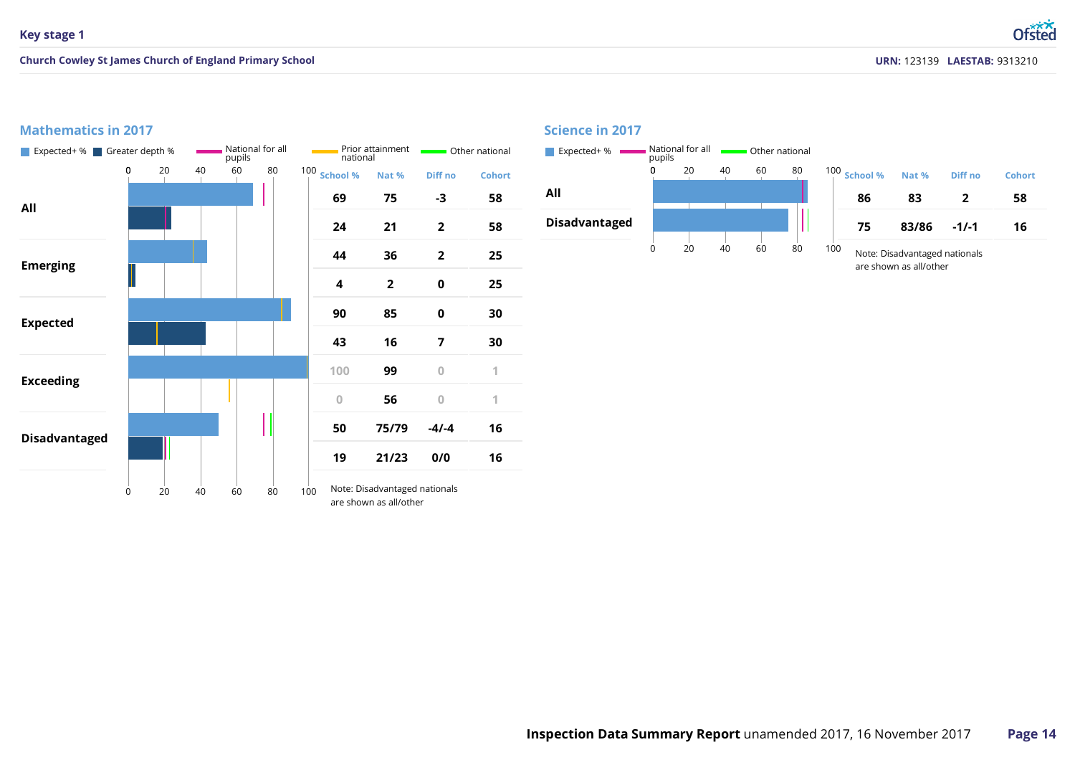## **Mathematics in 2017**



#### **Science in 2017**